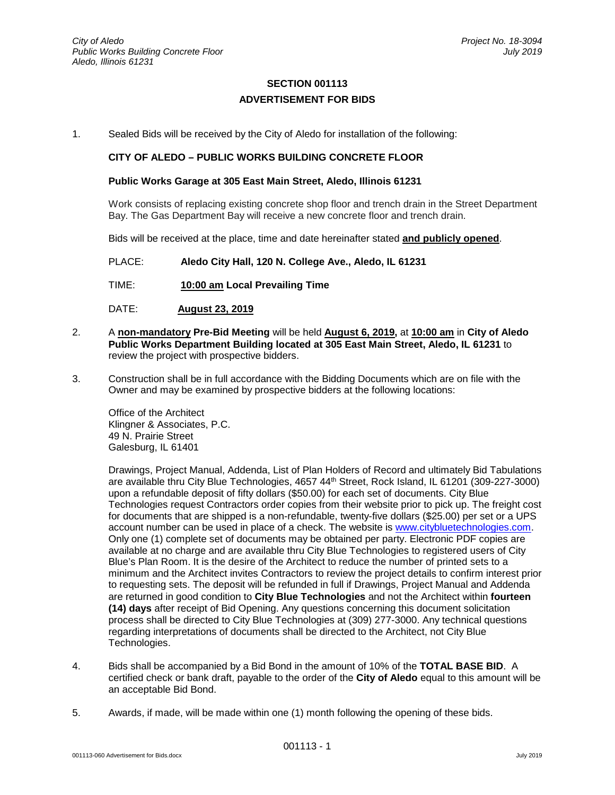## **SECTION 001113 ADVERTISEMENT FOR BIDS**

1. Sealed Bids will be received by the City of Aledo for installation of the following:

## **CITY OF ALEDO – PUBLIC WORKS BUILDING CONCRETE FLOOR**

## **Public Works Garage at 305 East Main Street, Aledo, Illinois 61231**

Work consists of replacing existing concrete shop floor and trench drain in the Street Department Bay. The Gas Department Bay will receive a new concrete floor and trench drain.

Bids will be received at the place, time and date hereinafter stated **and publicly opened**.

PLACE: **Aledo City Hall, 120 N. College Ave., Aledo, IL 61231**

- TIME: **10:00 am Local Prevailing Time**
- DATE: **August 23, 2019**
- 2. A **non-mandatory Pre-Bid Meeting** will be held **August 6, 2019,** at **10:00 am** in **City of Aledo Public Works Department Building located at 305 East Main Street, Aledo, IL 61231** to review the project with prospective bidders.
- 3. Construction shall be in full accordance with the Bidding Documents which are on file with the Owner and may be examined by prospective bidders at the following locations:

Office of the Architect Klingner & Associates, P.C. 49 N. Prairie Street Galesburg, IL 61401

Drawings, Project Manual, Addenda, List of Plan Holders of Record and ultimately Bid Tabulations are available thru City Blue Technologies, 4657 44th Street, Rock Island, IL 61201 (309-227-3000) upon a refundable deposit of fifty dollars (\$50.00) for each set of documents. City Blue Technologies request Contractors order copies from their website prior to pick up. The freight cost for documents that are shipped is a non-refundable, twenty-five dollars (\$25.00) per set or a UPS account number can be used in place of a check. The website is [www.citybluetechnologies.com.](http://www.citybluetechnologies.com/) Only one (1) complete set of documents may be obtained per party. Electronic PDF copies are available at no charge and are available thru City Blue Technologies to registered users of City Blue's Plan Room. It is the desire of the Architect to reduce the number of printed sets to a minimum and the Architect invites Contractors to review the project details to confirm interest prior to requesting sets. The deposit will be refunded in full if Drawings, Project Manual and Addenda are returned in good condition to **City Blue Technologies** and not the Architect within **fourteen (14) days** after receipt of Bid Opening. Any questions concerning this document solicitation process shall be directed to City Blue Technologies at (309) 277-3000. Any technical questions regarding interpretations of documents shall be directed to the Architect, not City Blue Technologies.

- 4. Bids shall be accompanied by a Bid Bond in the amount of 10% of the **TOTAL BASE BID**. A certified check or bank draft, payable to the order of the **City of Aledo** equal to this amount will be an acceptable Bid Bond.
- 5. Awards, if made, will be made within one (1) month following the opening of these bids.